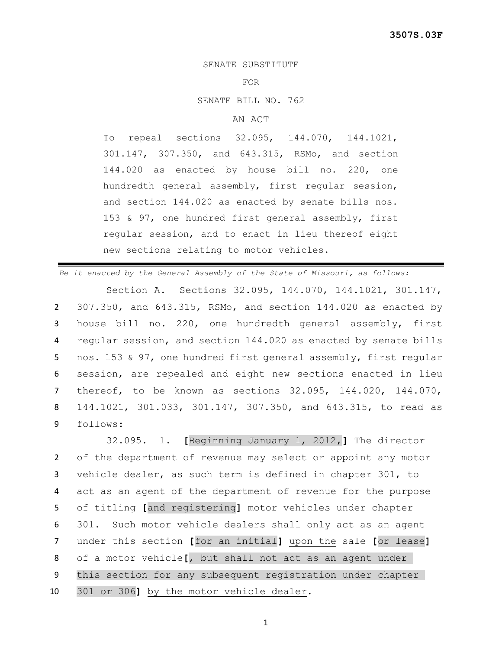## SENATE SUBSTITUTE

## FOR

SENATE BILL NO. 762

## AN ACT

To repeal sections 32.095, 144.070, 144.1021, 301.147, 307.350, and 643.315, RSMo, and section 144.020 as enacted by house bill no. 220, one hundredth general assembly, first regular session, and section 144.020 as enacted by senate bills nos. 153 & 97, one hundred first general assembly, first regular session, and to enact in lieu thereof eight new sections relating to motor vehicles.

*Be it enacted by the General Assembly of the State of Missouri, as follows:*

Section A. Sections 32.095, 144.070, 144.1021, 301.147, 307.350, and 643.315, RSMo, and section 144.020 as enacted by house bill no. 220, one hundredth general assembly, first regular session, and section 144.020 as enacted by senate bills nos. 153 & 97, one hundred first general assembly, first regular session, are repealed and eight new sections enacted in lieu thereof, to be known as sections 32.095, 144.020, 144.070, 144.1021, 301.033, 301.147, 307.350, and 643.315, to read as 9 follows:

 32.095. 1. **[**Beginning January 1, 2012,**]** The director of the department of revenue may select or appoint any motor vehicle dealer, as such term is defined in chapter 301, to act as an agent of the department of revenue for the purpose of titling **[**and registering**]** motor vehicles under chapter 301. Such motor vehicle dealers shall only act as an agent under this section **[**for an initial**]** upon the sale **[**or lease**]** of a motor vehicle**[**, but shall not act as an agent under this section for any subsequent registration under chapter 301 or 306**]** by the motor vehicle dealer.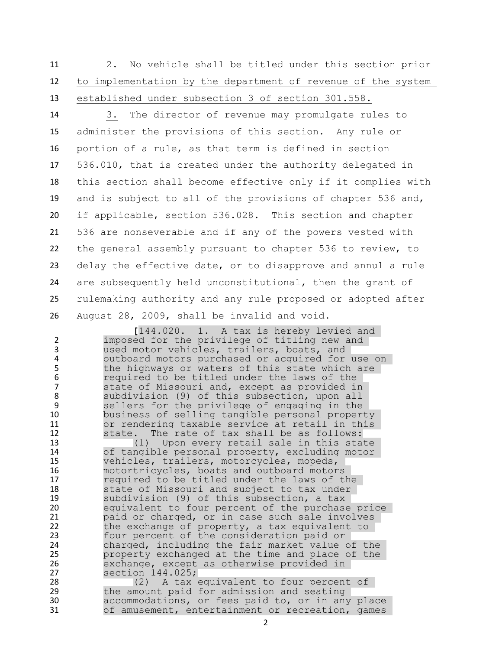2. No vehicle shall be titled under this section prior to implementation by the department of revenue of the system established under subsection 3 of section 301.558.

 3. The director of revenue may promulgate rules to administer the provisions of this section. Any rule or portion of a rule, as that term is defined in section 536.010, that is created under the authority delegated in this section shall become effective only if it complies with and is subject to all of the provisions of chapter 536 and, if applicable, section 536.028. This section and chapter 536 are nonseverable and if any of the powers vested with the general assembly pursuant to chapter 536 to review, to delay the effective date, or to disapprove and annul a rule are subsequently held unconstitutional, then the grant of rulemaking authority and any rule proposed or adopted after August 28, 2009, shall be invalid and void.

 **[**144.020. 1. A tax is hereby levied and imposed for the privilege of titling new and used motor vehicles, trailers, boats, and outboard motors purchased or acquired for use on the highways or waters of this state which are required to be titled under the laws of the state of Missouri and, except as provided in 8 subdivision (9) of this subsection, upon all<br>9 sellers for the privilege of engaging in the sellers for the privilege of engaging in the business of selling tangible personal property 11 or rendering taxable service at retail in this<br>12 State. The rate of tax shall be as follows: 12 state. The rate of tax shall be as follows:<br>13 (1) Upon every retail sale in this sta (1) Upon every retail sale in this state of tangible personal property, excluding motor vehicles, trailers, motorcycles, mopeds, motortricycles, boats and outboard motors required to be titled under the laws of the state of Missouri and subject to tax under 19 subdivision (9) of this subsection, a tax<br>20 equivalent to four percent of the purchase equivalent to four percent of the purchase price paid or charged, or in case such sale involves the exchange of property, a tax equivalent to four percent of the consideration paid or 24 charged, including the fair market value of the<br>25 property exchanged at the time and place of the 25 property exchanged at the time and place of the 26 exchange, except as otherwise provided in 26 exchange, except as otherwise provided in<br>27 section 144.025; 27 section 144.025;<br>28 (2) A tax 28 (2) A tax equivalent to four percent of<br>29 the amount paid for admission and seating 29 the amount paid for admission and seating<br>30 accommodations, or fees paid to, or in any accommodations, or fees paid to, or in any place of amusement, entertainment or recreation, games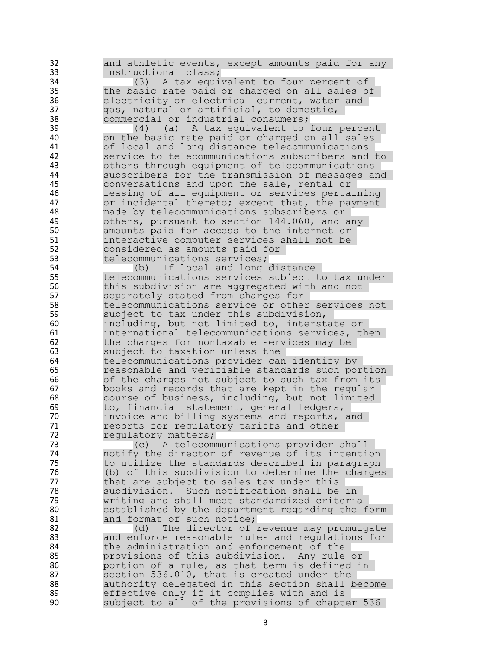32 and athletic events, except amounts paid for any<br>33 instructional class: 33 instructional class;<br>34 (3) A tax equiv 34 (3) A tax equivalent to four percent of<br>35 the basic rate paid or charged on all sales of 35 the basic rate paid or charged on all sales of 36 electricity or electrical current, water and<br>37 aas, natural or artificial, to domestic, 37 gas, natural or artificial, to domestic,<br>38 commercial or industrial consumers; 38 commercial or industrial consumers;<br>39 (4) (a) A tax equivalent to 39 (4) (a) A tax equivalent to four percent<br>40 on the basic rate paid or charged on all sales on the basic rate paid or charged on all sales 41 of local and long distance telecommunications<br>42 Service to telecommunications subscribers and 42 service to telecommunications subscribers and to<br>43 00 others through equipment of telecommunications 43 others through equipment of telecommunications<br>44 Subscribers for the transmission of messages an 44 subscribers for the transmission of messages and<br>45 conversations and upon the sale, rental or 45 conversations and upon the sale, rental or<br>46 1easing of all equipment or services perta: 46 leasing of all equipment or services pertaining<br>47 or incidental thereto: except that, the payment or incidental thereto; except that, the payment 48 made by telecommunications subscribers or<br>49 others, pursuant to section 144.060, and a 49 others, pursuant to section 144.060, and any<br>50 amounts paid for access to the internet or 50 amounts paid for access to the internet or<br>51 interactive computer services shall not be 51 interactive computer services shall not be<br>52 considered as amounts paid for 52 considered as amounts paid for<br>53 telecommunications services; 53 telecommunications services;<br>54 (b) If local and long 54 (b) If local and long distance<br>55 telecommunications services subject telecommunications services subject to tax under 56 this subdivision are aggregated with and not<br>57 separately stated from charges for separately stated from charges for 58 telecommunications service or other services not 59 subject to tax under this subdivision, 60 including, but not limited to, interstate or 61 international telecommunications services, then<br>62 the charges for nontaxable services may be 62 the charges for nontaxable services may be<br>63 subject to taxation unless the 63 Subject to taxation unless the<br>64 telecommunications provider car telecommunications provider can identify by 65 reasonable and verifiable standards such portion 66 of the charges not subject to such tax from its<br>67 books and records that are kept in the regular books and records that are kept in the regular 68 course of business, including, but not limited 69 to, financial statement, general ledgers,<br>70 invoice and billing systems and reports. 70 invoice and billing systems and reports, and<br>71 reports for regulatory tariffs and other reports for regulatory tariffs and other 72 requlatory matters; 73 (c) A telecommunications provider shall<br>74 motify the director of revenue of its intentional 74 10 notify the director of revenue of its intention<br>75 10 to utilize the standards described in paragraph to utilize the standards described in paragraph 76 (b) of this subdivision to determine the charges 77 that are subject to sales tax under this<br>78 subdivision. Such notification shall be 78 subdivision. Such notification shall be in<br>79 writing and shall meet standardized criteria 79 writing and shall meet standardized criteria 80 established by the department regarding the form<br>81 and format of such notice; and format of such notice; 82 (d) The director of revenue may promulgate<br>83 and enforce reasonable rules and regulations for 83 and enforce reasonable rules and regulations for<br>84 blue administration and enforcement of the 84 the administration and enforcement of the<br>85 brovisions of this subdivision. Any rule provisions of this subdivision. Any rule or 86 portion of a rule, as that term is defined in 87 section 536.010, that is created under the 88 authority delegated in this section shall become 89 effective only if it complies with and is<br>90 subject to all of the provisions of chapte subject to all of the provisions of chapter 536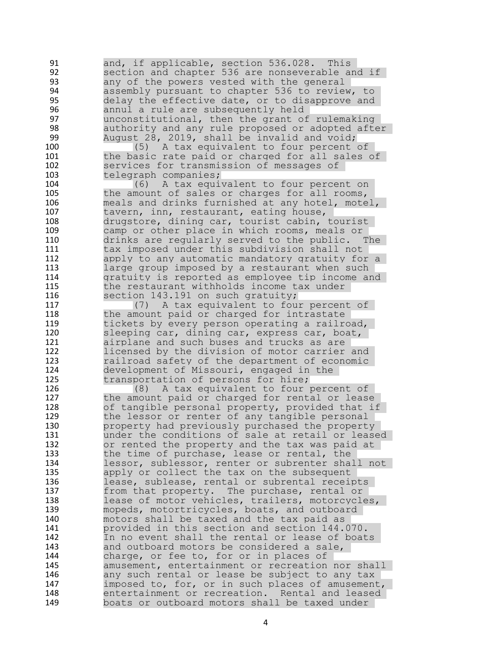91 and, if applicable, section 536.028. This<br>92 section and chapter 536 are nonseverable are 92 section and chapter 536 are nonseverable and if<br>93 any of the powers vested with the general 93 Book any of the powers vested with the general<br>94 Bossembly pursuant to chapter 536 to review 94 assembly pursuant to chapter 536 to review, to<br>95 delay the effective date, or to disapprove and 95 delay the effective date, or to disapprove and<br>96 annul a rule are subsequently held 96 annul a rule are subsequently held<br>97 unconstitutional, then the grant of 97 **120 unconstitutional, then the grant of rulemaking**<br>98 198 authority and any rule proposed or adopted after 98 authority and any rule proposed or adopted after<br>99 August 28, 2019, shall be invalid and void; August 28, 2019, shall be invalid and void; 100 (5) A tax equivalent to four percent of<br>101 the basic rate paid or charged for all sales 101 the basic rate paid or charged for all sales of<br>102 services for transmission of messages of 102 services for transmission of messages of<br>103 telegraph companies; 103 telegraph companies;<br>104 (6) A tax equi-104 (6) A tax equivalent to four percent on<br>105 the amount of sales or charges for all rooms, 105 the amount of sales or charges for all rooms,<br>106 meals and drinks furnished at any hotel, mote meals and drinks furnished at any hotel, motel, 107 tavern, inn, restaurant, eating house,<br>108 drugstore, dining car, tourist cabin, 108 drugstore, dining car, tourist cabin, tourist<br>109 camp or other place in which rooms, meals or camp or other place in which rooms, meals or 110 drinks are regularly served to the public. The<br>111 tax imposed under this subdivision shall not tax imposed under this subdivision shall not 112 apply to any automatic mandatory gratuity for a 113 large group imposed by a restaurant when such 114 gratuity is reported as employee tip income and 115 the restaurant withholds income tax under 116 section 143.191 on such gratuity; 117 (7) A tax equivalent to four percent of 118 the amount paid or charged for intrastate 119 tickets by every person operating a railroad, 120 sleeping car, dining car, express car, boat,<br>121 airplane and such buses and trucks as are 121 airplane and such buses and trucks as are<br>122 1icensed by the division of motor carrier 122 licensed by the division of motor carrier and<br>123 railroad safety of the department of economic railroad safety of the department of economic 124 development of Missouri, engaged in the<br>125 transportation of persons for hire: 125 transportation of persons for hire;<br>126 (8) A tax equivalent to four 126 (8) A tax equivalent to four percent of 127 the amount paid or charged for rental or lease 128 of tangible personal property, provided that if<br>129 the lessor or renter of any tangible personal the lessor or renter of any tangible personal 130 property had previously purchased the property 131 under the conditions of sale at retail or leased 132 or rented the property and the tax was paid at 133 the time of purchase, lease or rental, the 134 lessor, sublessor, renter or subrenter shall not 135 apply or collect the tax on the subsequent 136 lease, sublease, rental or subrental receipts 137 from that property. The purchase, rental or<br>138 lease of motor vehicles, trailers, motorcycle 138 lease of motor vehicles, trailers, motorcycles,<br>139 mopeds, motortricycles, boats, and outboard 139 mopeds, motortricycles, boats, and outboard<br>140 motors shall be taxed and the tax paid as motors shall be taxed and the tax paid as 141 provided in this section and section 144.070. 142 In no event shall the rental or lease of boats<br>143 and outboard motors be considered a sale, and outboard motors be considered a sale, 144 charge, or fee to, for or in places of 145 amusement, entertainment or recreation nor shall 146 any such rental or lease be subject to any tax 147 imposed to, for, or in such places of amusement, 148 entertainment or recreation. Rental and leased<br>149 boats or outboard motors shall be taxed under boats or outboard motors shall be taxed under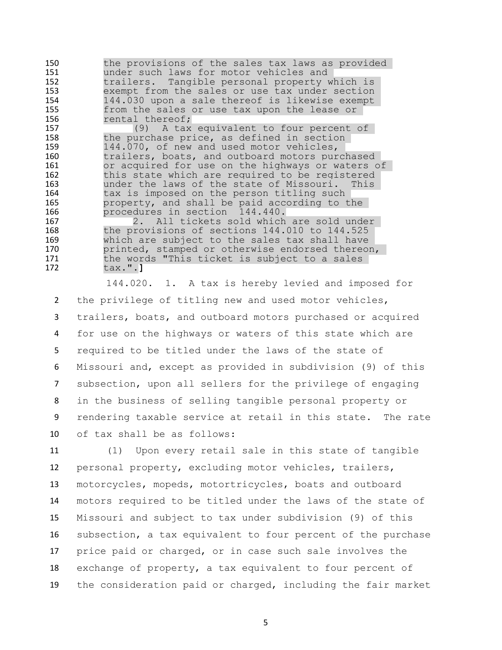150 the provisions of the sales tax laws as provided<br>151 Under such laws for motor vehicles and 151 under such laws for motor vehicles and<br>152 trailers. Tangible personal property w 152 trailers. Tangible personal property which is 153 exempt from the sales or use tax under section<br>154 144.030 upon a sale thereof is likewise exempt 144.030 upon a sale thereof is likewise exempt 155 from the sales or use tax upon the lease or 156 rental thereof; 157 (9) A tax equivalent to four percent of<br>158 the purchase price, as defined in section the purchase price, as defined in section 159 144.070, of new and used motor vehicles,<br>160 trailers, boats, and outboard motors pur 160 trailers, boats, and outboard motors purchased<br>161 6 167 tradition or acquired for use on the highways or waters or acquired for use on the highways or waters of

162 this state which are required to be registered<br>163 the laws of the state of Missouri. This 163 under the laws of the state of Missouri. This<br>164 tax is imposed on the person titling such tax is imposed on the person titling such 165 property, and shall be paid according to the 166 procedures in section 144.440.<br>167 2. All tickets sold which

167 167 168 2. All tickets sold which are sold under<br>168 the provisions of sections 144.010 to 144.525 the provisions of sections  $144.010$  to  $144.525$ 169 which are subject to the sales tax shall have<br>170 printed, stamped or otherwise endorsed thereor 170 printed, stamped or otherwise endorsed thereon,<br>171 bhe words "This ticket is subject to a sales 171 the words "This ticket is subject to a sales<br>172 tax.".1 172 tax.".**]**

 144.020. 1. A tax is hereby levied and imposed for the privilege of titling new and used motor vehicles, trailers, boats, and outboard motors purchased or acquired for use on the highways or waters of this state which are required to be titled under the laws of the state of Missouri and, except as provided in subdivision (9) of this subsection, upon all sellers for the privilege of engaging in the business of selling tangible personal property or rendering taxable service at retail in this state. The rate of tax shall be as follows:

 (1) Upon every retail sale in this state of tangible personal property, excluding motor vehicles, trailers, motorcycles, mopeds, motortricycles, boats and outboard motors required to be titled under the laws of the state of Missouri and subject to tax under subdivision (9) of this subsection, a tax equivalent to four percent of the purchase price paid or charged, or in case such sale involves the exchange of property, a tax equivalent to four percent of the consideration paid or charged, including the fair market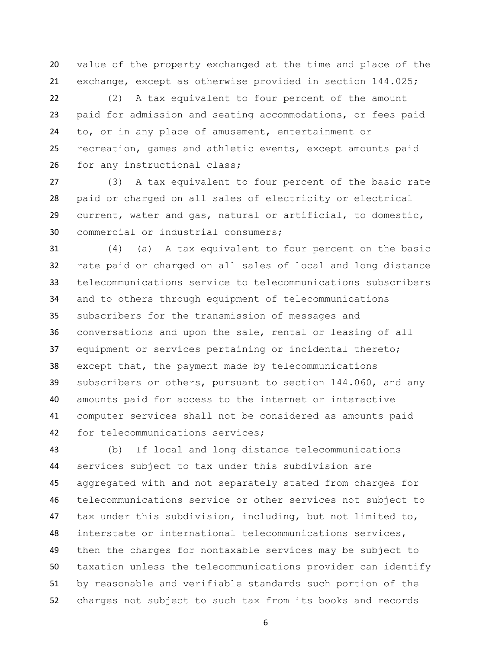value of the property exchanged at the time and place of the exchange, except as otherwise provided in section 144.025;

 (2) A tax equivalent to four percent of the amount paid for admission and seating accommodations, or fees paid to, or in any place of amusement, entertainment or recreation, games and athletic events, except amounts paid 26 for any instructional class;

 (3) A tax equivalent to four percent of the basic rate paid or charged on all sales of electricity or electrical current, water and gas, natural or artificial, to domestic, commercial or industrial consumers;

 (4) (a) A tax equivalent to four percent on the basic rate paid or charged on all sales of local and long distance telecommunications service to telecommunications subscribers and to others through equipment of telecommunications subscribers for the transmission of messages and conversations and upon the sale, rental or leasing of all equipment or services pertaining or incidental thereto; except that, the payment made by telecommunications subscribers or others, pursuant to section 144.060, and any amounts paid for access to the internet or interactive computer services shall not be considered as amounts paid for telecommunications services;

 (b) If local and long distance telecommunications services subject to tax under this subdivision are aggregated with and not separately stated from charges for telecommunications service or other services not subject to tax under this subdivision, including, but not limited to, interstate or international telecommunications services, then the charges for nontaxable services may be subject to taxation unless the telecommunications provider can identify by reasonable and verifiable standards such portion of the charges not subject to such tax from its books and records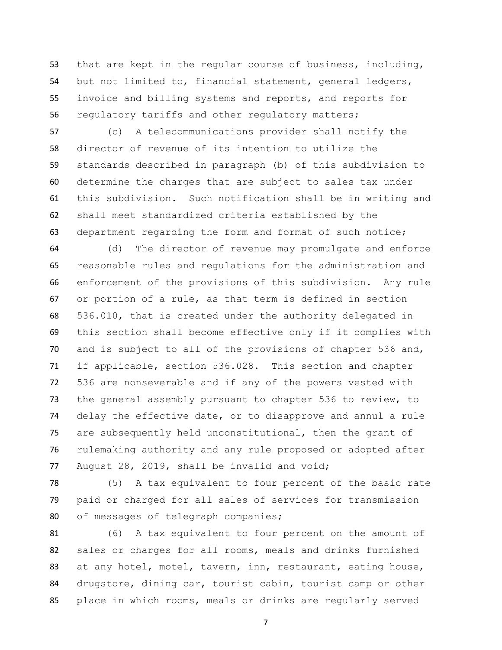that are kept in the regular course of business, including, but not limited to, financial statement, general ledgers, invoice and billing systems and reports, and reports for regulatory tariffs and other regulatory matters;

 (c) A telecommunications provider shall notify the director of revenue of its intention to utilize the standards described in paragraph (b) of this subdivision to determine the charges that are subject to sales tax under this subdivision. Such notification shall be in writing and shall meet standardized criteria established by the department regarding the form and format of such notice;

 (d) The director of revenue may promulgate and enforce reasonable rules and regulations for the administration and enforcement of the provisions of this subdivision. Any rule or portion of a rule, as that term is defined in section 536.010, that is created under the authority delegated in this section shall become effective only if it complies with and is subject to all of the provisions of chapter 536 and, if applicable, section 536.028. This section and chapter 536 are nonseverable and if any of the powers vested with the general assembly pursuant to chapter 536 to review, to delay the effective date, or to disapprove and annul a rule are subsequently held unconstitutional, then the grant of rulemaking authority and any rule proposed or adopted after August 28, 2019, shall be invalid and void;

 (5) A tax equivalent to four percent of the basic rate paid or charged for all sales of services for transmission of messages of telegraph companies;

 (6) A tax equivalent to four percent on the amount of sales or charges for all rooms, meals and drinks furnished 83 at any hotel, motel, tavern, inn, restaurant, eating house, drugstore, dining car, tourist cabin, tourist camp or other place in which rooms, meals or drinks are regularly served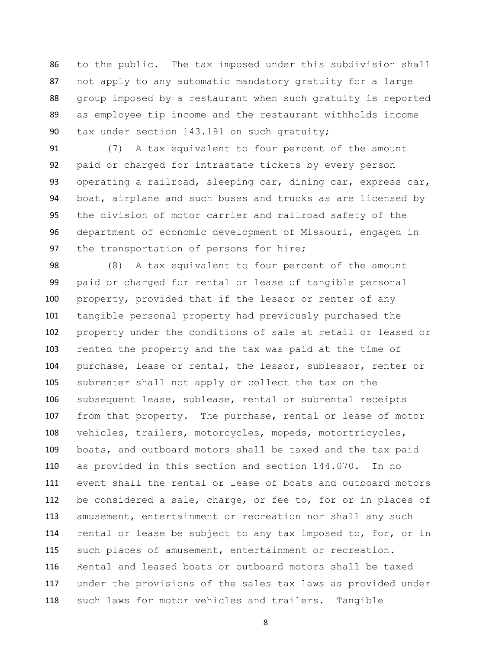to the public. The tax imposed under this subdivision shall not apply to any automatic mandatory gratuity for a large group imposed by a restaurant when such gratuity is reported as employee tip income and the restaurant withholds income tax under section 143.191 on such gratuity;

 (7) A tax equivalent to four percent of the amount paid or charged for intrastate tickets by every person operating a railroad, sleeping car, dining car, express car, boat, airplane and such buses and trucks as are licensed by the division of motor carrier and railroad safety of the department of economic development of Missouri, engaged in 97 the transportation of persons for hire;

 (8) A tax equivalent to four percent of the amount paid or charged for rental or lease of tangible personal property, provided that if the lessor or renter of any tangible personal property had previously purchased the property under the conditions of sale at retail or leased or rented the property and the tax was paid at the time of purchase, lease or rental, the lessor, sublessor, renter or subrenter shall not apply or collect the tax on the subsequent lease, sublease, rental or subrental receipts from that property. The purchase, rental or lease of motor vehicles, trailers, motorcycles, mopeds, motortricycles, boats, and outboard motors shall be taxed and the tax paid as provided in this section and section 144.070. In no event shall the rental or lease of boats and outboard motors be considered a sale, charge, or fee to, for or in places of amusement, entertainment or recreation nor shall any such rental or lease be subject to any tax imposed to, for, or in such places of amusement, entertainment or recreation. Rental and leased boats or outboard motors shall be taxed under the provisions of the sales tax laws as provided under such laws for motor vehicles and trailers. Tangible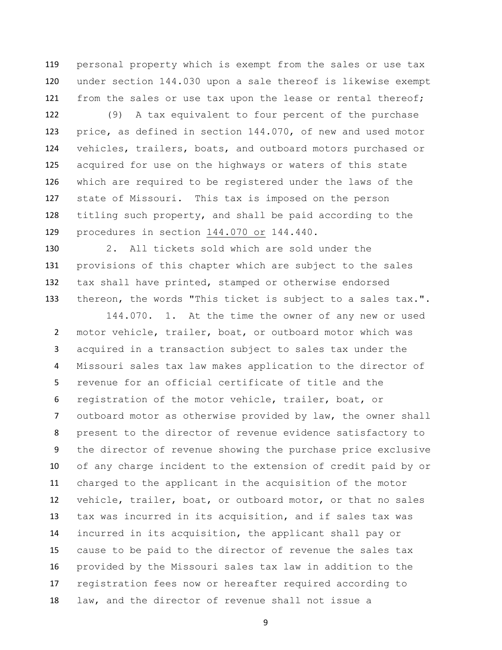personal property which is exempt from the sales or use tax under section 144.030 upon a sale thereof is likewise exempt from the sales or use tax upon the lease or rental thereof;

 (9) A tax equivalent to four percent of the purchase price, as defined in section 144.070, of new and used motor vehicles, trailers, boats, and outboard motors purchased or acquired for use on the highways or waters of this state which are required to be registered under the laws of the state of Missouri. This tax is imposed on the person titling such property, and shall be paid according to the procedures in section 144.070 or 144.440.

 2. All tickets sold which are sold under the provisions of this chapter which are subject to the sales tax shall have printed, stamped or otherwise endorsed thereon, the words "This ticket is subject to a sales tax.".

144.070. 1. At the time the owner of any new or used motor vehicle, trailer, boat, or outboard motor which was acquired in a transaction subject to sales tax under the Missouri sales tax law makes application to the director of revenue for an official certificate of title and the registration of the motor vehicle, trailer, boat, or outboard motor as otherwise provided by law, the owner shall present to the director of revenue evidence satisfactory to the director of revenue showing the purchase price exclusive of any charge incident to the extension of credit paid by or charged to the applicant in the acquisition of the motor vehicle, trailer, boat, or outboard motor, or that no sales tax was incurred in its acquisition, and if sales tax was incurred in its acquisition, the applicant shall pay or cause to be paid to the director of revenue the sales tax provided by the Missouri sales tax law in addition to the registration fees now or hereafter required according to law, and the director of revenue shall not issue a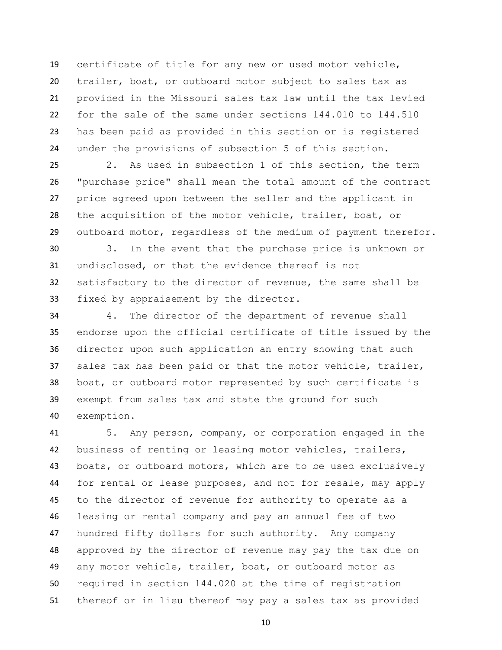certificate of title for any new or used motor vehicle, trailer, boat, or outboard motor subject to sales tax as provided in the Missouri sales tax law until the tax levied for the sale of the same under sections 144.010 to 144.510 has been paid as provided in this section or is registered under the provisions of subsection 5 of this section.

 2. As used in subsection 1 of this section, the term "purchase price" shall mean the total amount of the contract price agreed upon between the seller and the applicant in the acquisition of the motor vehicle, trailer, boat, or outboard motor, regardless of the medium of payment therefor.

 3. In the event that the purchase price is unknown or undisclosed, or that the evidence thereof is not satisfactory to the director of revenue, the same shall be fixed by appraisement by the director.

 4. The director of the department of revenue shall endorse upon the official certificate of title issued by the director upon such application an entry showing that such sales tax has been paid or that the motor vehicle, trailer, boat, or outboard motor represented by such certificate is exempt from sales tax and state the ground for such exemption.

 5. Any person, company, or corporation engaged in the business of renting or leasing motor vehicles, trailers, boats, or outboard motors, which are to be used exclusively for rental or lease purposes, and not for resale, may apply to the director of revenue for authority to operate as a leasing or rental company and pay an annual fee of two hundred fifty dollars for such authority. Any company approved by the director of revenue may pay the tax due on any motor vehicle, trailer, boat, or outboard motor as required in section 144.020 at the time of registration thereof or in lieu thereof may pay a sales tax as provided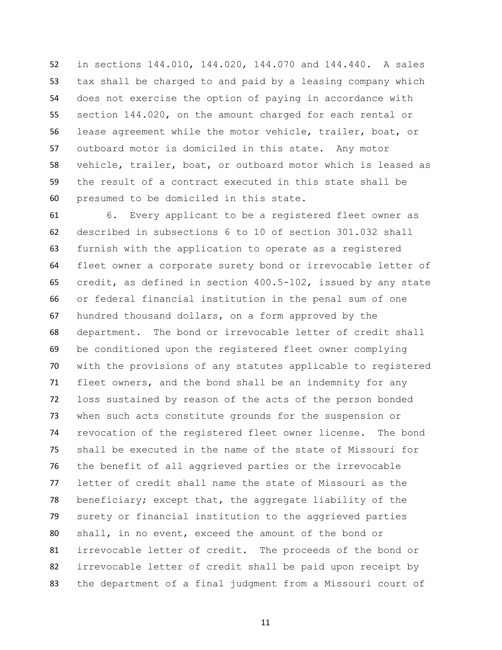in sections 144.010, 144.020, 144.070 and 144.440. A sales tax shall be charged to and paid by a leasing company which does not exercise the option of paying in accordance with section 144.020, on the amount charged for each rental or lease agreement while the motor vehicle, trailer, boat, or outboard motor is domiciled in this state. Any motor vehicle, trailer, boat, or outboard motor which is leased as the result of a contract executed in this state shall be presumed to be domiciled in this state.

 6. Every applicant to be a registered fleet owner as described in subsections 6 to 10 of section 301.032 shall furnish with the application to operate as a registered fleet owner a corporate surety bond or irrevocable letter of credit, as defined in section 400.5-102, issued by any state or federal financial institution in the penal sum of one hundred thousand dollars, on a form approved by the department. The bond or irrevocable letter of credit shall be conditioned upon the registered fleet owner complying with the provisions of any statutes applicable to registered fleet owners, and the bond shall be an indemnity for any loss sustained by reason of the acts of the person bonded when such acts constitute grounds for the suspension or revocation of the registered fleet owner license. The bond shall be executed in the name of the state of Missouri for the benefit of all aggrieved parties or the irrevocable letter of credit shall name the state of Missouri as the beneficiary; except that, the aggregate liability of the surety or financial institution to the aggrieved parties shall, in no event, exceed the amount of the bond or irrevocable letter of credit. The proceeds of the bond or irrevocable letter of credit shall be paid upon receipt by the department of a final judgment from a Missouri court of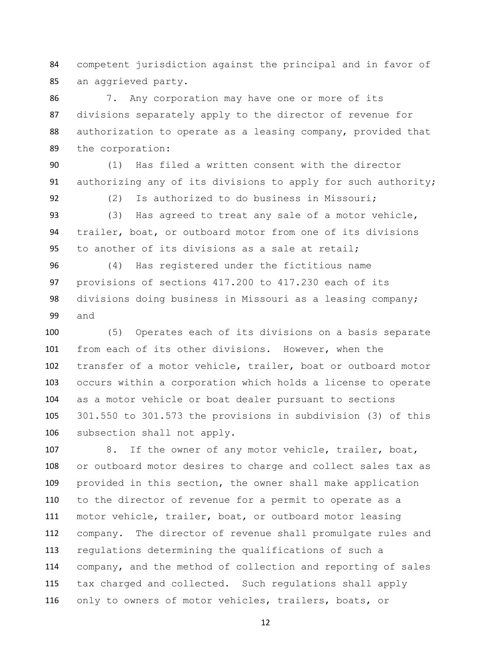competent jurisdiction against the principal and in favor of an aggrieved party.

 7. Any corporation may have one or more of its divisions separately apply to the director of revenue for authorization to operate as a leasing company, provided that the corporation:

 (1) Has filed a written consent with the director authorizing any of its divisions to apply for such authority;

92 (2) Is authorized to do business in Missouri; (3) Has agreed to treat any sale of a motor vehicle,

 trailer, boat, or outboard motor from one of its divisions to another of its divisions as a sale at retail;

 (4) Has registered under the fictitious name provisions of sections 417.200 to 417.230 each of its divisions doing business in Missouri as a leasing company; and

 (5) Operates each of its divisions on a basis separate from each of its other divisions. However, when the transfer of a motor vehicle, trailer, boat or outboard motor occurs within a corporation which holds a license to operate as a motor vehicle or boat dealer pursuant to sections 301.550 to 301.573 the provisions in subdivision (3) of this subsection shall not apply.

 8. If the owner of any motor vehicle, trailer, boat, or outboard motor desires to charge and collect sales tax as provided in this section, the owner shall make application to the director of revenue for a permit to operate as a motor vehicle, trailer, boat, or outboard motor leasing company. The director of revenue shall promulgate rules and regulations determining the qualifications of such a company, and the method of collection and reporting of sales tax charged and collected. Such regulations shall apply only to owners of motor vehicles, trailers, boats, or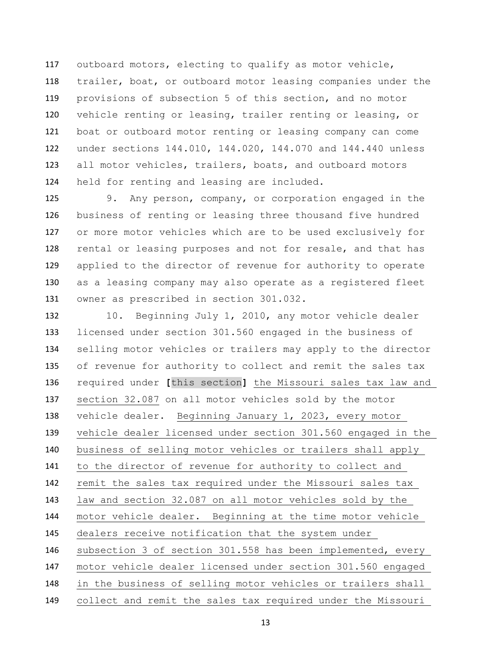outboard motors, electing to qualify as motor vehicle, trailer, boat, or outboard motor leasing companies under the provisions of subsection 5 of this section, and no motor vehicle renting or leasing, trailer renting or leasing, or boat or outboard motor renting or leasing company can come under sections 144.010, 144.020, 144.070 and 144.440 unless all motor vehicles, trailers, boats, and outboard motors held for renting and leasing are included.

 9. Any person, company, or corporation engaged in the business of renting or leasing three thousand five hundred or more motor vehicles which are to be used exclusively for rental or leasing purposes and not for resale, and that has applied to the director of revenue for authority to operate as a leasing company may also operate as a registered fleet owner as prescribed in section 301.032.

132 10. Beginning July 1, 2010, any motor vehicle dealer licensed under section 301.560 engaged in the business of selling motor vehicles or trailers may apply to the director of revenue for authority to collect and remit the sales tax required under **[**this section**]** the Missouri sales tax law and section 32.087 on all motor vehicles sold by the motor vehicle dealer. Beginning January 1, 2023, every motor vehicle dealer licensed under section 301.560 engaged in the business of selling motor vehicles or trailers shall apply to the director of revenue for authority to collect and remit the sales tax required under the Missouri sales tax law and section 32.087 on all motor vehicles sold by the motor vehicle dealer. Beginning at the time motor vehicle dealers receive notification that the system under subsection 3 of section 301.558 has been implemented, every motor vehicle dealer licensed under section 301.560 engaged in the business of selling motor vehicles or trailers shall collect and remit the sales tax required under the Missouri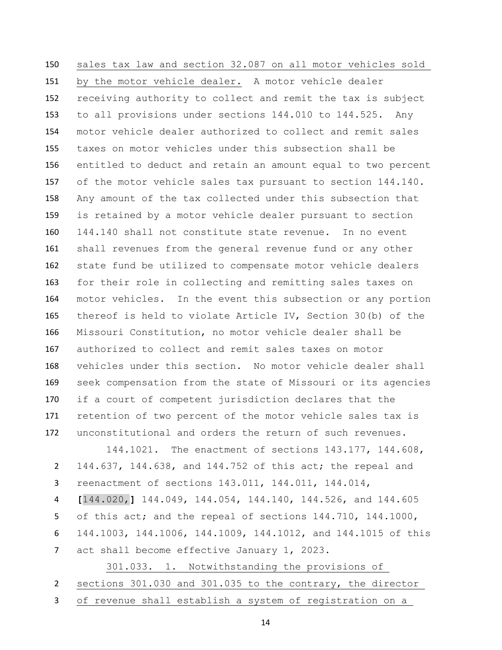sales tax law and section 32.087 on all motor vehicles sold by the motor vehicle dealer. A motor vehicle dealer receiving authority to collect and remit the tax is subject to all provisions under sections 144.010 to 144.525. Any motor vehicle dealer authorized to collect and remit sales taxes on motor vehicles under this subsection shall be entitled to deduct and retain an amount equal to two percent of the motor vehicle sales tax pursuant to section 144.140. Any amount of the tax collected under this subsection that is retained by a motor vehicle dealer pursuant to section 144.140 shall not constitute state revenue. In no event shall revenues from the general revenue fund or any other state fund be utilized to compensate motor vehicle dealers for their role in collecting and remitting sales taxes on motor vehicles. In the event this subsection or any portion thereof is held to violate Article IV, Section 30(b) of the Missouri Constitution, no motor vehicle dealer shall be authorized to collect and remit sales taxes on motor vehicles under this section. No motor vehicle dealer shall seek compensation from the state of Missouri or its agencies if a court of competent jurisdiction declares that the retention of two percent of the motor vehicle sales tax is unconstitutional and orders the return of such revenues.

 144.1021. The enactment of sections 143.177, 144.608, 144.637, 144.638, and 144.752 of this act; the repeal and reenactment of sections 143.011, 144.011, 144.014, **[**144.020,**]** 144.049, 144.054, 144.140, 144.526, and 144.605 of this act; and the repeal of sections 144.710, 144.1000, 144.1003, 144.1006, 144.1009, 144.1012, and 144.1015 of this act shall become effective January 1, 2023.

 301.033. 1. Notwithstanding the provisions of sections 301.030 and 301.035 to the contrary, the director of revenue shall establish a system of registration on a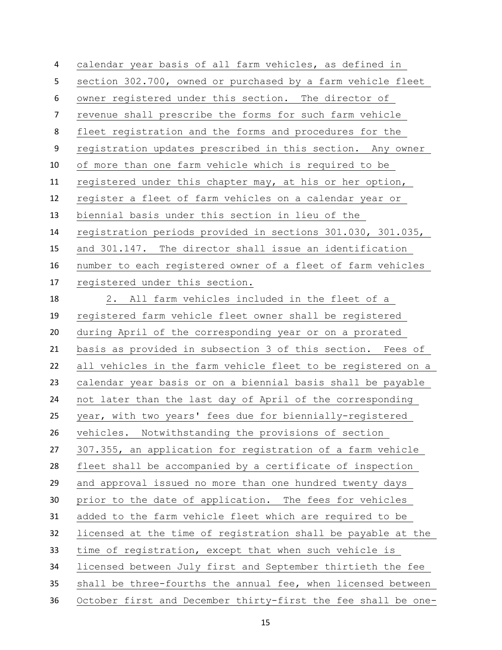calendar year basis of all farm vehicles, as defined in section 302.700, owned or purchased by a farm vehicle fleet owner registered under this section. The director of revenue shall prescribe the forms for such farm vehicle fleet registration and the forms and procedures for the registration updates prescribed in this section. Any owner of more than one farm vehicle which is required to be registered under this chapter may, at his or her option, register a fleet of farm vehicles on a calendar year or biennial basis under this section in lieu of the registration periods provided in sections 301.030, 301.035, and 301.147. The director shall issue an identification number to each registered owner of a fleet of farm vehicles registered under this section. 2. All farm vehicles included in the fleet of a registered farm vehicle fleet owner shall be registered during April of the corresponding year or on a prorated basis as provided in subsection 3 of this section. Fees of all vehicles in the farm vehicle fleet to be registered on a calendar year basis or on a biennial basis shall be payable not later than the last day of April of the corresponding year, with two years' fees due for biennially-registered vehicles. Notwithstanding the provisions of section 307.355, an application for registration of a farm vehicle fleet shall be accompanied by a certificate of inspection and approval issued no more than one hundred twenty days prior to the date of application. The fees for vehicles added to the farm vehicle fleet which are required to be licensed at the time of registration shall be payable at the time of registration, except that when such vehicle is licensed between July first and September thirtieth the fee shall be three-fourths the annual fee, when licensed between October first and December thirty-first the fee shall be one-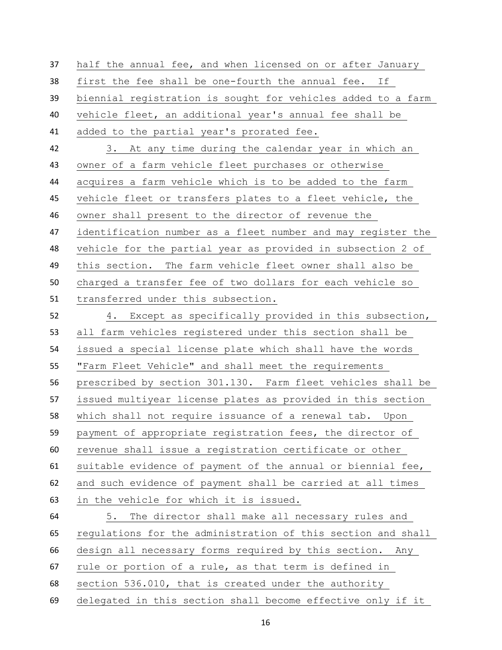half the annual fee, and when licensed on or after January first the fee shall be one-fourth the annual fee. If biennial registration is sought for vehicles added to a farm vehicle fleet, an additional year's annual fee shall be added to the partial year's prorated fee. 3. At any time during the calendar year in which an owner of a farm vehicle fleet purchases or otherwise acquires a farm vehicle which is to be added to the farm vehicle fleet or transfers plates to a fleet vehicle, the owner shall present to the director of revenue the identification number as a fleet number and may register the vehicle for the partial year as provided in subsection 2 of this section. The farm vehicle fleet owner shall also be charged a transfer fee of two dollars for each vehicle so transferred under this subsection. 4. Except as specifically provided in this subsection, all farm vehicles registered under this section shall be issued a special license plate which shall have the words "Farm Fleet Vehicle" and shall meet the requirements prescribed by section 301.130. Farm fleet vehicles shall be issued multiyear license plates as provided in this section which shall not require issuance of a renewal tab. Upon payment of appropriate registration fees, the director of revenue shall issue a registration certificate or other suitable evidence of payment of the annual or biennial fee, and such evidence of payment shall be carried at all times in the vehicle for which it is issued. 5. The director shall make all necessary rules and regulations for the administration of this section and shall design all necessary forms required by this section. Any rule or portion of a rule, as that term is defined in section 536.010, that is created under the authority delegated in this section shall become effective only if it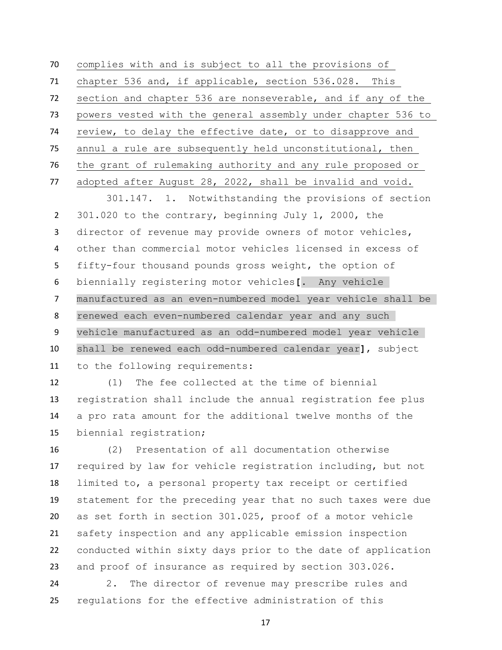complies with and is subject to all the provisions of chapter 536 and, if applicable, section 536.028. This section and chapter 536 are nonseverable, and if any of the powers vested with the general assembly under chapter 536 to review, to delay the effective date, or to disapprove and annul a rule are subsequently held unconstitutional, then the grant of rulemaking authority and any rule proposed or adopted after August 28, 2022, shall be invalid and void.

 301.147. 1. Notwithstanding the provisions of section 301.020 to the contrary, beginning July 1, 2000, the director of revenue may provide owners of motor vehicles, other than commercial motor vehicles licensed in excess of fifty-four thousand pounds gross weight, the option of biennially registering motor vehicles**[**. Any vehicle manufactured as an even-numbered model year vehicle shall be renewed each even-numbered calendar year and any such vehicle manufactured as an odd-numbered model year vehicle shall be renewed each odd-numbered calendar year**]**, subject to the following requirements:

 (1) The fee collected at the time of biennial registration shall include the annual registration fee plus a pro rata amount for the additional twelve months of the biennial registration;

 (2) Presentation of all documentation otherwise required by law for vehicle registration including, but not limited to, a personal property tax receipt or certified statement for the preceding year that no such taxes were due as set forth in section 301.025, proof of a motor vehicle safety inspection and any applicable emission inspection conducted within sixty days prior to the date of application and proof of insurance as required by section 303.026.

 2. The director of revenue may prescribe rules and regulations for the effective administration of this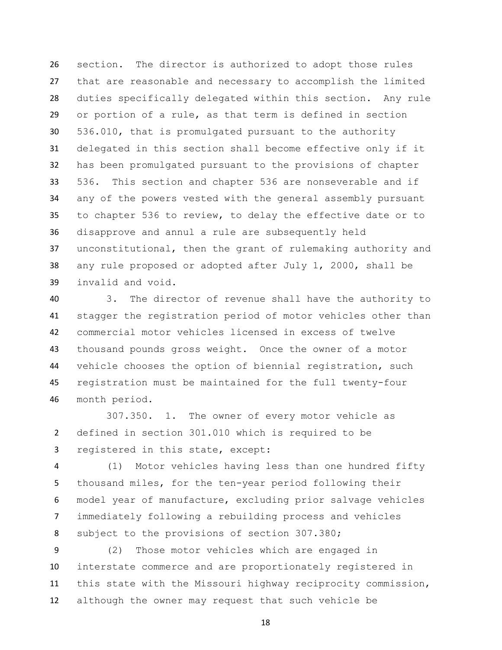section. The director is authorized to adopt those rules that are reasonable and necessary to accomplish the limited duties specifically delegated within this section. Any rule or portion of a rule, as that term is defined in section 536.010, that is promulgated pursuant to the authority delegated in this section shall become effective only if it has been promulgated pursuant to the provisions of chapter 536. This section and chapter 536 are nonseverable and if any of the powers vested with the general assembly pursuant to chapter 536 to review, to delay the effective date or to disapprove and annul a rule are subsequently held unconstitutional, then the grant of rulemaking authority and any rule proposed or adopted after July 1, 2000, shall be invalid and void.

 3. The director of revenue shall have the authority to stagger the registration period of motor vehicles other than commercial motor vehicles licensed in excess of twelve thousand pounds gross weight. Once the owner of a motor vehicle chooses the option of biennial registration, such registration must be maintained for the full twenty-four month period.

307.350. 1. The owner of every motor vehicle as defined in section 301.010 which is required to be registered in this state, except:

 (1) Motor vehicles having less than one hundred fifty thousand miles, for the ten-year period following their model year of manufacture, excluding prior salvage vehicles immediately following a rebuilding process and vehicles 8 subject to the provisions of section 307.380;

 (2) Those motor vehicles which are engaged in interstate commerce and are proportionately registered in this state with the Missouri highway reciprocity commission, although the owner may request that such vehicle be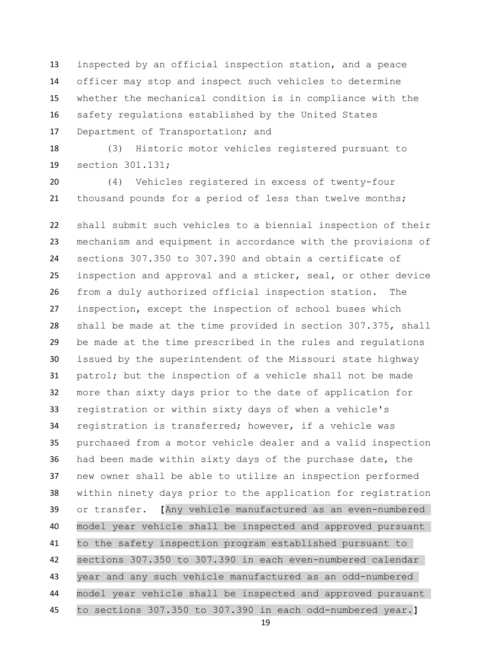inspected by an official inspection station, and a peace officer may stop and inspect such vehicles to determine whether the mechanical condition is in compliance with the safety regulations established by the United States Department of Transportation; and

 (3) Historic motor vehicles registered pursuant to section 301.131;

 (4) Vehicles registered in excess of twenty-four thousand pounds for a period of less than twelve months;

 shall submit such vehicles to a biennial inspection of their mechanism and equipment in accordance with the provisions of sections 307.350 to 307.390 and obtain a certificate of inspection and approval and a sticker, seal, or other device from a duly authorized official inspection station. The inspection, except the inspection of school buses which shall be made at the time provided in section 307.375, shall be made at the time prescribed in the rules and regulations issued by the superintendent of the Missouri state highway patrol; but the inspection of a vehicle shall not be made more than sixty days prior to the date of application for registration or within sixty days of when a vehicle's registration is transferred; however, if a vehicle was purchased from a motor vehicle dealer and a valid inspection had been made within sixty days of the purchase date, the new owner shall be able to utilize an inspection performed within ninety days prior to the application for registration or transfer. **[**Any vehicle manufactured as an even-numbered model year vehicle shall be inspected and approved pursuant to the safety inspection program established pursuant to sections 307.350 to 307.390 in each even-numbered calendar year and any such vehicle manufactured as an odd-numbered model year vehicle shall be inspected and approved pursuant

to sections 307.350 to 307.390 in each odd-numbered year.**]**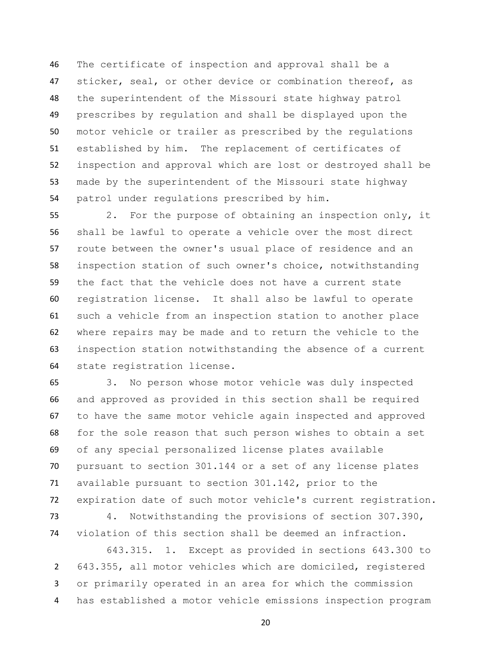The certificate of inspection and approval shall be a 47 sticker, seal, or other device or combination thereof, as the superintendent of the Missouri state highway patrol prescribes by regulation and shall be displayed upon the motor vehicle or trailer as prescribed by the regulations established by him. The replacement of certificates of inspection and approval which are lost or destroyed shall be made by the superintendent of the Missouri state highway patrol under regulations prescribed by him.

 2. For the purpose of obtaining an inspection only, it shall be lawful to operate a vehicle over the most direct route between the owner's usual place of residence and an inspection station of such owner's choice, notwithstanding the fact that the vehicle does not have a current state registration license. It shall also be lawful to operate such a vehicle from an inspection station to another place where repairs may be made and to return the vehicle to the inspection station notwithstanding the absence of a current state registration license.

 3. No person whose motor vehicle was duly inspected and approved as provided in this section shall be required to have the same motor vehicle again inspected and approved for the sole reason that such person wishes to obtain a set of any special personalized license plates available pursuant to section 301.144 or a set of any license plates available pursuant to section 301.142, prior to the expiration date of such motor vehicle's current registration.

 4. Notwithstanding the provisions of section 307.390, violation of this section shall be deemed an infraction.

 643.315. 1. Except as provided in sections 643.300 to 643.355, all motor vehicles which are domiciled, registered or primarily operated in an area for which the commission has established a motor vehicle emissions inspection program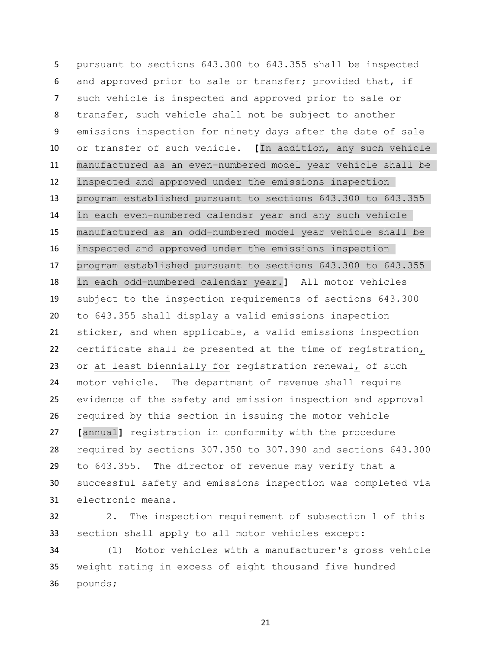pursuant to sections 643.300 to 643.355 shall be inspected and approved prior to sale or transfer; provided that, if such vehicle is inspected and approved prior to sale or transfer, such vehicle shall not be subject to another emissions inspection for ninety days after the date of sale or transfer of such vehicle. **[**In addition, any such vehicle manufactured as an even-numbered model year vehicle shall be inspected and approved under the emissions inspection program established pursuant to sections 643.300 to 643.355 in each even-numbered calendar year and any such vehicle manufactured as an odd-numbered model year vehicle shall be inspected and approved under the emissions inspection program established pursuant to sections 643.300 to 643.355 in each odd-numbered calendar year.**]** All motor vehicles subject to the inspection requirements of sections 643.300 to 643.355 shall display a valid emissions inspection sticker, and when applicable, a valid emissions inspection certificate shall be presented at the time of registration, or at least biennially for registration renewal, of such motor vehicle. The department of revenue shall require evidence of the safety and emission inspection and approval required by this section in issuing the motor vehicle **[**annual**]** registration in conformity with the procedure required by sections 307.350 to 307.390 and sections 643.300 to 643.355. The director of revenue may verify that a successful safety and emissions inspection was completed via electronic means.

 2. The inspection requirement of subsection 1 of this section shall apply to all motor vehicles except:

 (1) Motor vehicles with a manufacturer's gross vehicle weight rating in excess of eight thousand five hundred pounds;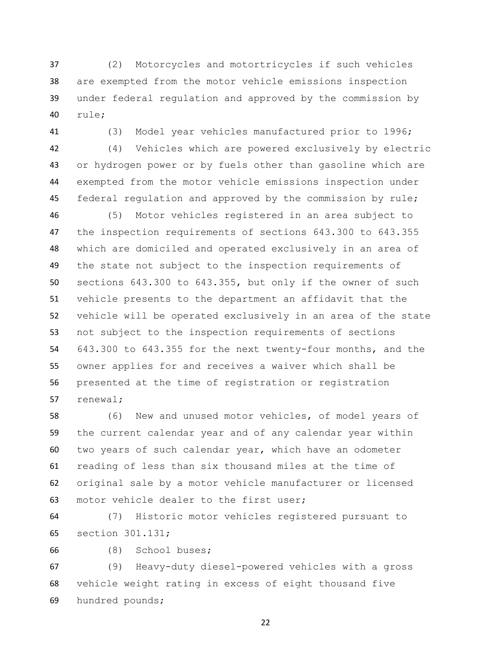(2) Motorcycles and motortricycles if such vehicles are exempted from the motor vehicle emissions inspection under federal regulation and approved by the commission by rule;

(3) Model year vehicles manufactured prior to 1996;

 (4) Vehicles which are powered exclusively by electric or hydrogen power or by fuels other than gasoline which are exempted from the motor vehicle emissions inspection under 45 federal regulation and approved by the commission by rule;

 (5) Motor vehicles registered in an area subject to the inspection requirements of sections 643.300 to 643.355 which are domiciled and operated exclusively in an area of the state not subject to the inspection requirements of sections 643.300 to 643.355, but only if the owner of such vehicle presents to the department an affidavit that the vehicle will be operated exclusively in an area of the state not subject to the inspection requirements of sections 643.300 to 643.355 for the next twenty-four months, and the owner applies for and receives a waiver which shall be presented at the time of registration or registration renewal;

 (6) New and unused motor vehicles, of model years of the current calendar year and of any calendar year within two years of such calendar year, which have an odometer reading of less than six thousand miles at the time of original sale by a motor vehicle manufacturer or licensed motor vehicle dealer to the first user;

 (7) Historic motor vehicles registered pursuant to section 301.131;

(8) School buses;

 (9) Heavy-duty diesel-powered vehicles with a gross vehicle weight rating in excess of eight thousand five hundred pounds;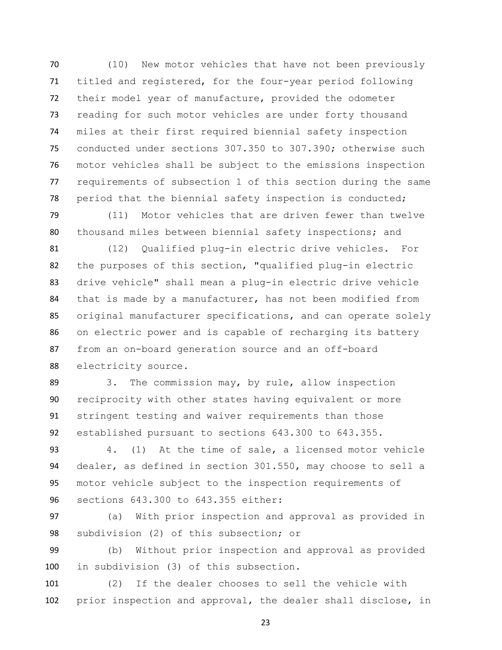(10) New motor vehicles that have not been previously titled and registered, for the four-year period following their model year of manufacture, provided the odometer reading for such motor vehicles are under forty thousand miles at their first required biennial safety inspection conducted under sections 307.350 to 307.390; otherwise such motor vehicles shall be subject to the emissions inspection requirements of subsection 1 of this section during the same period that the biennial safety inspection is conducted;

 (11) Motor vehicles that are driven fewer than twelve thousand miles between biennial safety inspections; and

 (12) Qualified plug-in electric drive vehicles. For the purposes of this section, "qualified plug-in electric drive vehicle" shall mean a plug-in electric drive vehicle that is made by a manufacturer, has not been modified from original manufacturer specifications, and can operate solely on electric power and is capable of recharging its battery from an on-board generation source and an off-board electricity source.

89 3. The commission may, by rule, allow inspection reciprocity with other states having equivalent or more stringent testing and waiver requirements than those established pursuant to sections 643.300 to 643.355.

 4. (1) At the time of sale, a licensed motor vehicle dealer, as defined in section 301.550, may choose to sell a motor vehicle subject to the inspection requirements of sections 643.300 to 643.355 either:

 (a) With prior inspection and approval as provided in subdivision (2) of this subsection; or

 (b) Without prior inspection and approval as provided in subdivision (3) of this subsection.

 (2) If the dealer chooses to sell the vehicle with prior inspection and approval, the dealer shall disclose, in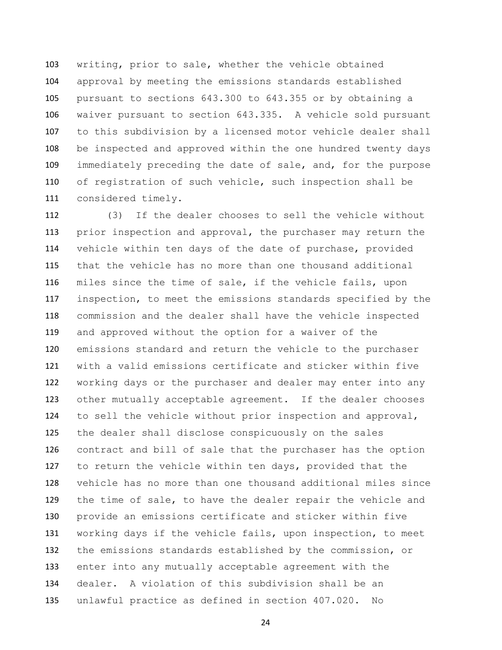writing, prior to sale, whether the vehicle obtained approval by meeting the emissions standards established pursuant to sections 643.300 to 643.355 or by obtaining a waiver pursuant to section 643.335. A vehicle sold pursuant to this subdivision by a licensed motor vehicle dealer shall be inspected and approved within the one hundred twenty days immediately preceding the date of sale, and, for the purpose of registration of such vehicle, such inspection shall be considered timely.

 (3) If the dealer chooses to sell the vehicle without prior inspection and approval, the purchaser may return the vehicle within ten days of the date of purchase, provided that the vehicle has no more than one thousand additional miles since the time of sale, if the vehicle fails, upon inspection, to meet the emissions standards specified by the commission and the dealer shall have the vehicle inspected and approved without the option for a waiver of the emissions standard and return the vehicle to the purchaser with a valid emissions certificate and sticker within five working days or the purchaser and dealer may enter into any other mutually acceptable agreement. If the dealer chooses to sell the vehicle without prior inspection and approval, the dealer shall disclose conspicuously on the sales contract and bill of sale that the purchaser has the option to return the vehicle within ten days, provided that the vehicle has no more than one thousand additional miles since the time of sale, to have the dealer repair the vehicle and provide an emissions certificate and sticker within five working days if the vehicle fails, upon inspection, to meet the emissions standards established by the commission, or enter into any mutually acceptable agreement with the dealer. A violation of this subdivision shall be an unlawful practice as defined in section 407.020. No